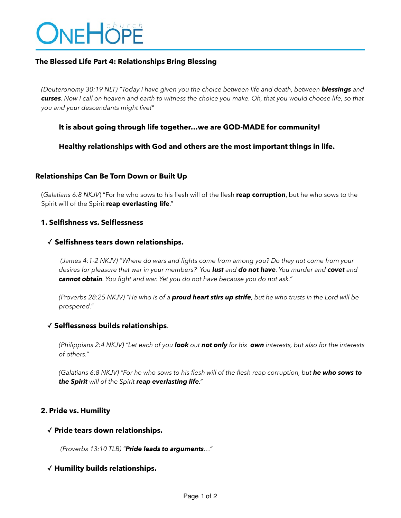# **ONEHOPE**

# **The Blessed Life Part 4: Relationships Bring Blessing**

*(Deuteronomy 30:19 NLT) "Today I have given you the choice between life and death, between blessings and curses. Now I call on heaven and earth to witness the choice you make. Oh, that you would choose life, so that you and your descendants might live!"* 

## **It is about going through life together…we are GOD-MADE for community!**

**Healthy relationships with God and others are the most important things in life.** 

## **Relationships Can Be Torn Down or Built Up**

(*Galatians 6:8 NKJV*) "For he who sows to his flesh will of the flesh **reap corruption**, but he who sows to the Spirit will of the Spirit **reap everlasting life**."

## **1. Selfishness vs. Selflessness**

#### ✓ **Selfishness tears down relationships.**

 *(James 4:1-2 NKJV) "Where do wars and fights come from among you? Do they not come from your desires for pleasure that war in your members? You lust and do not have. You murder and covet and cannot obtain. You fight and war. Yet you do not have because you do not ask."* 

*(Proverbs 28:25 NKJV) "He who is of a proud heart stirs up strife, but he who trusts in the Lord will be prospered."* 

## ✓ **Selflessness builds relationships**.

*(Philippians 2:4 NKJV) "Let each of you look out not only for his own interests, but also for the interests of others."* 

*(Galatians 6:8 NKJV) "For he who sows to his flesh will of the flesh reap corruption, but he who sows to the Spirit will of the Spirit reap everlasting life."* 

## **2. Pride vs. Humility**

## ✓ **Pride tears down relationships.**

 *(Proverbs 13:10 TLB) "Pride leads to arguments…"* 

## ✓ **Humility builds relationships.**